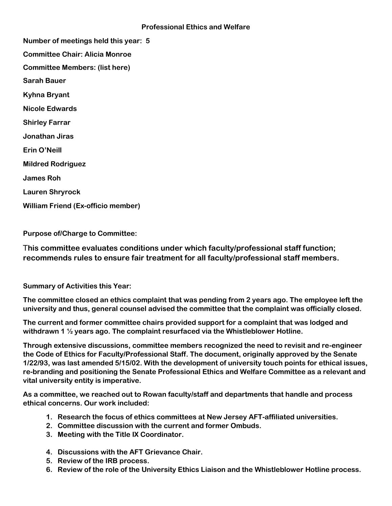**Number of meetings held this year: 5 Committee Chair: Alicia Monroe Committee Members: (list here) Sarah Bauer Kyhna Bryant Nicole Edwards Shirley Farrar Jonathan Jiras Erin O'Neill Mildred Rodriguez James Roh Lauren Shryrock William Friend (Ex-officio member)**

**Purpose of/Charge to Committee:** 

T**his committee evaluates conditions under which faculty/professional staff function; recommends rules to ensure fair treatment for all faculty/professional staff members.**

**Summary of Activities this Year:** 

**The committee closed an ethics complaint that was pending from 2 years ago. The employee left the university and thus, general counsel advised the committee that the complaint was officially closed.**

**The current and former committee chairs provided support for a complaint that was lodged and withdrawn 1 ½ years ago. The complaint resurfaced via the Whistleblower Hotline.**

**Through extensive discussions, committee members recognized the need to revisit and re-engineer the Code of Ethics for Faculty/Professional Staff. The document, originally approved by the Senate 1/22/93, was last amended 5/15/02. With the development of university touch points for ethical issues, re-branding and positioning the Senate Professional Ethics and Welfare Committee as a relevant and vital university entity is imperative.**

**As a committee, we reached out to Rowan faculty/staff and departments that handle and process ethical concerns. Our work included:** 

- **1. Research the focus of ethics committees at New Jersey AFT-affiliated universities.**
- **2. Committee discussion with the current and former Ombuds.**
- **3. Meeting with the Title IX Coordinator.**
- **4. Discussions with the AFT Grievance Chair.**
- **5. Review of the IRB process.**
- **6. Review of the role of the University Ethics Liaison and the Whistleblower Hotline process.**